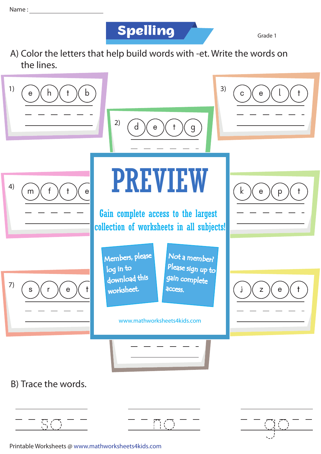**Spelling**

Grade 1

Color the letters that help build words with -et. Write the words on A) the lines.









Printable Worksheets @ www.mathworksheets4kids.com